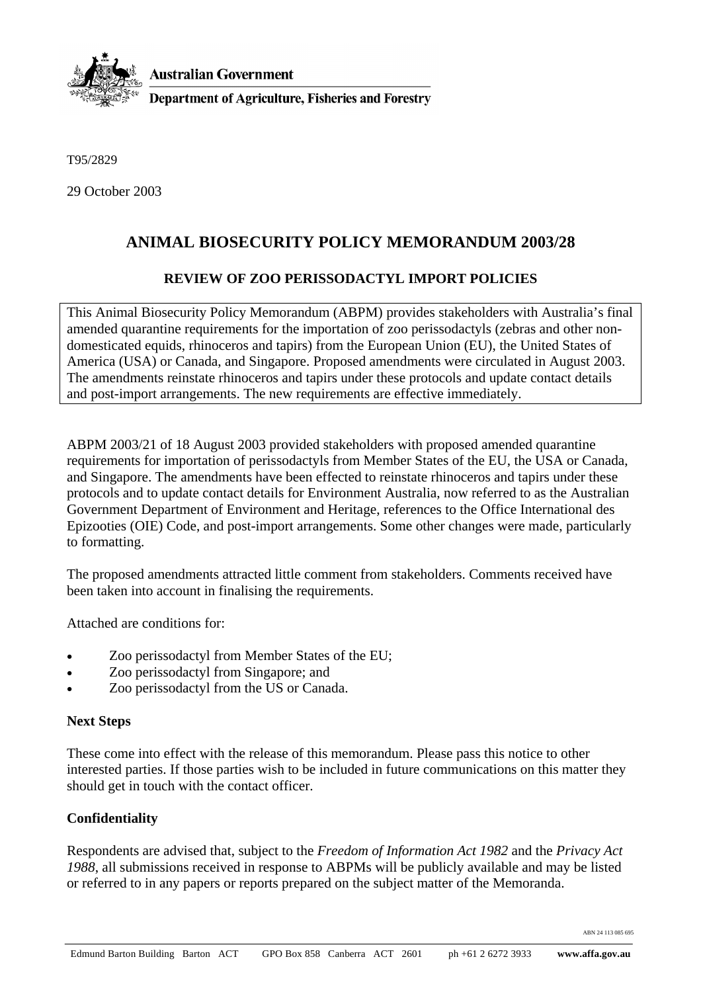

T95/2829

29 October 2003

## **ANIMAL BIOSECURITY POLICY MEMORANDUM 2003/28**

## **REVIEW OF ZOO PERISSODACTYL IMPORT POLICIES**

This Animal Biosecurity Policy Memorandum (ABPM) provides stakeholders with Australia's final amended quarantine requirements for the importation of zoo perissodactyls (zebras and other nondomesticated equids, rhinoceros and tapirs) from the European Union (EU), the United States of America (USA) or Canada, and Singapore. Proposed amendments were circulated in August 2003. The amendments reinstate rhinoceros and tapirs under these protocols and update contact details and post-import arrangements. The new requirements are effective immediately.

ABPM 2003/21 of 18 August 2003 provided stakeholders with proposed amended quarantine requirements for importation of perissodactyls from Member States of the EU, the USA or Canada, and Singapore. The amendments have been effected to reinstate rhinoceros and tapirs under these protocols and to update contact details for Environment Australia, now referred to as the Australian Government Department of Environment and Heritage, references to the Office International des Epizooties (OIE) Code, and post-import arrangements. Some other changes were made, particularly to formatting.

The proposed amendments attracted little comment from stakeholders. Comments received have been taken into account in finalising the requirements.

Attached are conditions for:

- Zoo perissodactyl from Member States of the EU;
- Zoo perissodactyl from Singapore; and
- Zoo perissodactyl from the US or Canada.

## **Next Steps**

These come into effect with the release of this memorandum. Please pass this notice to other interested parties. If those parties wish to be included in future communications on this matter they should get in touch with the contact officer.

## **Confidentiality**

Respondents are advised that, subject to the *Freedom of Information Act 1982* and the *Privacy Act 1988*, all submissions received in response to ABPMs will be publicly available and may be listed or referred to in any papers or reports prepared on the subject matter of the Memoranda.

ABN 24 113 085 695